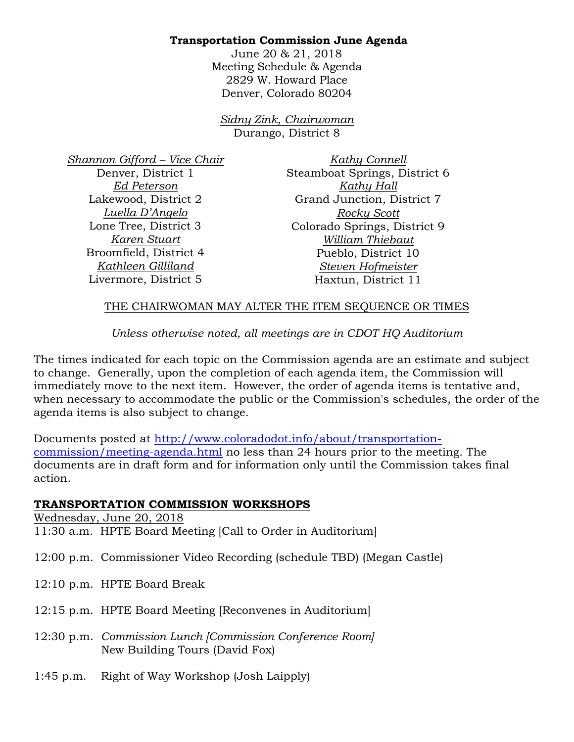# **Transportation Commission June Agenda**

June 20 & 21, 2018 Meeting Schedule & Agenda 2829 W. Howard Place Denver, Colorado 80204

*Sidny Zink, Chairwoman*  Durango, District 8

*Shannon Gifford – Vice Chair* Denver, District 1 *Ed Peterson* Lakewood, District 2 *Luella D'Angelo* Lone Tree, District 3 *Karen Stuart* Broomfield, District 4 *Kathleen Gilliland* Livermore, District 5

*Kathy Connell* Steamboat Springs, District 6 *Kathy Hall* Grand Junction, District 7 *Rocky Scott* Colorado Springs, District 9 *William Thiebaut* Pueblo, District 10 *Steven Hofmeister* Haxtun, District 11

## THE CHAIRWOMAN MAY ALTER THE ITEM SEQUENCE OR TIMES

### *Unless otherwise noted, all meetings are in CDOT HQ Auditorium*

The times indicated for each topic on the Commission agenda are an estimate and subject to change. Generally, upon the completion of each agenda item, the Commission will immediately move to the next item. However, the order of agenda items is tentative and, when necessary to accommodate the public or the Commission's schedules, the order of the agenda items is also subject to change.

Documents posted at http://www.coloradodot.info/about/transportationcommission/meeting-agenda.html no less than 24 hours prior to the meeting. The documents are in draft form and for information only until the Commission takes final action.

#### **TRANSPORTATION COMMISSION WORKSHOPS**

Wednesday, June 20, 2018 11:30 a.m. HPTE Board Meeting [Call to Order in Auditorium]

12:00 p.m. Commissioner Video Recording (schedule TBD) (Megan Castle)

- 12:10 p.m. HPTE Board Break
- 12:15 p.m. HPTE Board Meeting [Reconvenes in Auditorium]
- 12:30 p.m. *Commission Lunch [Commission Conference Room]*  New Building Tours (David Fox)
- 1:45 p.m. Right of Way Workshop (Josh Laipply)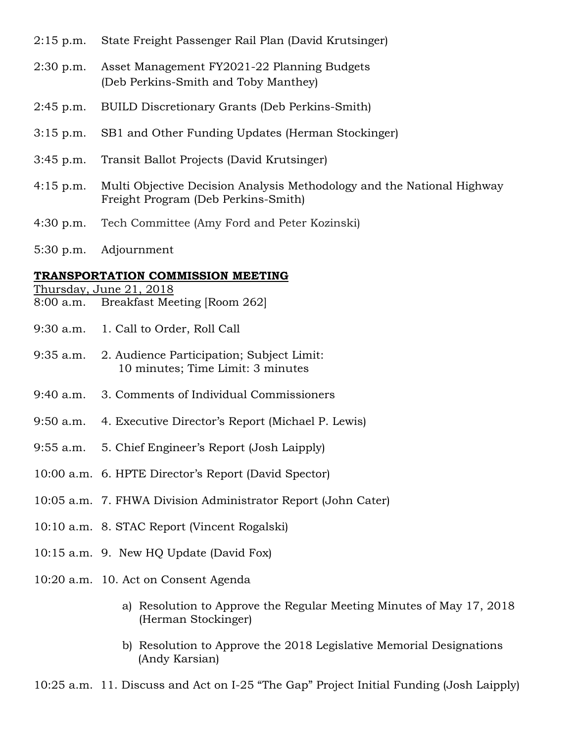- 2:15 p.m. State Freight Passenger Rail Plan (David Krutsinger)
- 2:30 p.m. Asset Management FY2021-22 Planning Budgets (Deb Perkins-Smith and Toby Manthey)
- 2:45 p.m. BUILD Discretionary Grants (Deb Perkins-Smith)
- 3:15 p.m. SB1 and Other Funding Updates (Herman Stockinger)
- 3:45 p.m. Transit Ballot Projects (David Krutsinger)
- 4:15 p.m. Multi Objective Decision Analysis Methodology and the National Highway Freight Program (Deb Perkins-Smith)
- 4:30 p.m. Tech Committee (Amy Ford and Peter Kozinski)
- 5:30 p.m. Adjournment

#### **TRANSPORTATION COMMISSION MEETING**

- Thursday, June 21, 2018
- 8:00 a.m. Breakfast Meeting [Room 262]
- 9:30 a.m. 1. Call to Order, Roll Call
- 9:35 a.m. 2. Audience Participation; Subject Limit: 10 minutes; Time Limit: 3 minutes
- 9:40 a.m. 3. Comments of Individual Commissioners
- 9:50 a.m. 4. Executive Director's Report (Michael P. Lewis)
- 9:55 a.m. 5. Chief Engineer's Report (Josh Laipply)
- 10:00 a.m. 6. HPTE Director's Report (David Spector)
- 10:05 a.m. 7. FHWA Division Administrator Report (John Cater)
- 10:10 a.m. 8. STAC Report (Vincent Rogalski)
- 10:15 a.m. 9. New HQ Update (David Fox)
- 10:20 a.m. 10. Act on Consent Agenda
	- a) Resolution to Approve the Regular Meeting Minutes of May 17, 2018 (Herman Stockinger)
	- b) Resolution to Approve the 2018 Legislative Memorial Designations (Andy Karsian)

10:25 a.m. 11. Discuss and Act on I-25 "The Gap" Project Initial Funding (Josh Laipply)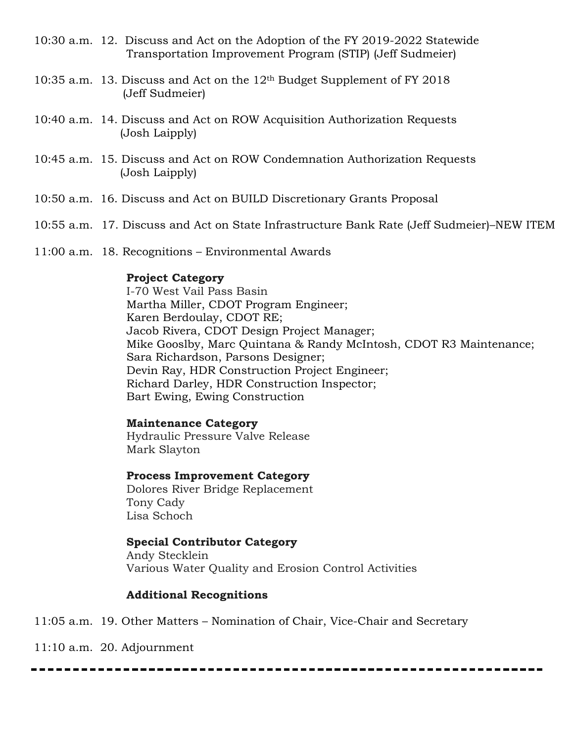- 10:30 a.m. 12. Discuss and Act on the Adoption of the FY 2019-2022 Statewide Transportation Improvement Program (STIP) (Jeff Sudmeier)
- 10:35 a.m. 13. Discuss and Act on the 12th Budget Supplement of FY 2018 (Jeff Sudmeier)
- 10:40 a.m. 14. Discuss and Act on ROW Acquisition Authorization Requests (Josh Laipply)
- 10:45 a.m. 15. Discuss and Act on ROW Condemnation Authorization Requests (Josh Laipply)
- 10:50 a.m. 16. Discuss and Act on BUILD Discretionary Grants Proposal
- 10:55 a.m. 17. Discuss and Act on State Infrastructure Bank Rate (Jeff Sudmeier)–NEW ITEM
- 11:00 a.m. 18. Recognitions Environmental Awards

### **Project Category**

I-70 West Vail Pass Basin Martha Miller, CDOT Program Engineer; Karen Berdoulay, CDOT RE; Jacob Rivera, CDOT Design Project Manager; Mike Gooslby, Marc Quintana & Randy McIntosh, CDOT R3 Maintenance; Sara Richardson, Parsons Designer; Devin Ray, HDR Construction Project Engineer; Richard Darley, HDR Construction Inspector; Bart Ewing, Ewing Construction

#### **Maintenance Category**

Hydraulic Pressure Valve Release Mark Slayton

**Process Improvement Category**

Dolores River Bridge Replacement Tony Cady Lisa Schoch

## **Special Contributor Category**

Andy Stecklein Various Water Quality and Erosion Control Activities

## **Additional Recognitions**

11:05 a.m. 19. Other Matters – Nomination of Chair, Vice-Chair and Secretary

11:10 a.m. 20. Adjournment